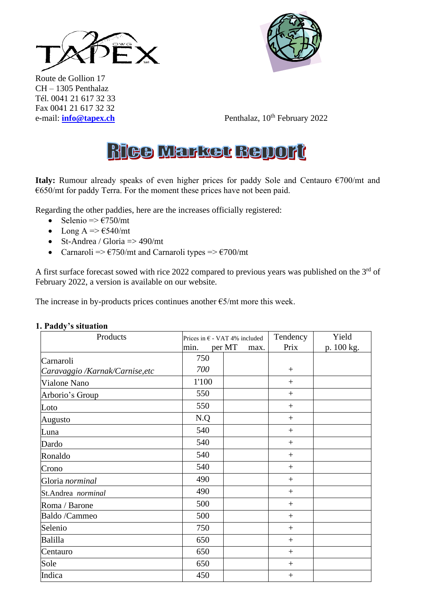



Route de Gollion 17 CH – 1305 Penthalaz Tél. 0041 21 617 32 33 Fax 0041 21 617 32 32

e-mail: **[info@tapex.ch](mailto:info@tapex.ch)** Penthalaz, 10<sup>th</sup> February 2022

# **Rice Market Bellort**

**Italy:** Rumour already speaks of even higher prices for paddy Sole and Centauro €700/mt and €650/mt for paddy Terra. For the moment these prices have not been paid.

Regarding the other paddies, here are the increases officially registered:

- Selenio  $\Rightarrow$   $\epsilon$ 750/mt
- Long A =>  $\epsilon$ 540/mt
- St-Andrea / Gloria  $\Rightarrow$  490/mt
- Carnaroli =>  $\epsilon$ 750/mt and Carnaroli types =>  $\epsilon$ 700/mt

A first surface forecast sowed with rice 2022 compared to previous years was published on the 3<sup>rd</sup> of February 2022, a version is available on our website.

The increase in by-products prices continues another  $\epsilon$ 5/mt more this week.

| Products                                     | Prices in $\epsilon$ - VAT 4% included<br>per MT<br>min.<br>max. |  | Tendency<br>Prix | Yield<br>p. 100 kg. |
|----------------------------------------------|------------------------------------------------------------------|--|------------------|---------------------|
|                                              | 750                                                              |  |                  |                     |
| Carnaroli<br>Caravaggio /Karnak/Carnise, etc | 700                                                              |  | $^{+}$           |                     |
| Vialone Nano                                 | 1'100                                                            |  | $^{+}$           |                     |
| Arborio's Group                              | 550                                                              |  | $+$              |                     |
| Loto                                         | 550                                                              |  | $^{+}$           |                     |
| Augusto                                      | N.Q                                                              |  | $^{+}$           |                     |
| Luna                                         | 540                                                              |  | $+$              |                     |
| Dardo                                        | 540                                                              |  | $+$              |                     |
| Ronaldo                                      | 540                                                              |  | $+$              |                     |
| Crono                                        | 540                                                              |  | $^{+}$           |                     |
| Gloria norminal                              | 490                                                              |  | $^{+}$           |                     |
| St.Andrea norminal                           | 490                                                              |  | $^{+}$           |                     |
| Roma / Barone                                | 500                                                              |  | $+$              |                     |
| Baldo /Cammeo                                | 500                                                              |  | $^{+}$           |                     |
| Selenio                                      | 750                                                              |  | $^{+}$           |                     |
| Balilla                                      | 650                                                              |  | $^{+}$           |                     |
| Centauro                                     | 650                                                              |  | $+$              |                     |
| Sole                                         | 650                                                              |  | $^{+}$           |                     |
| Indica                                       | 450                                                              |  | $^{+}$           |                     |

#### **1. Paddy's situation**